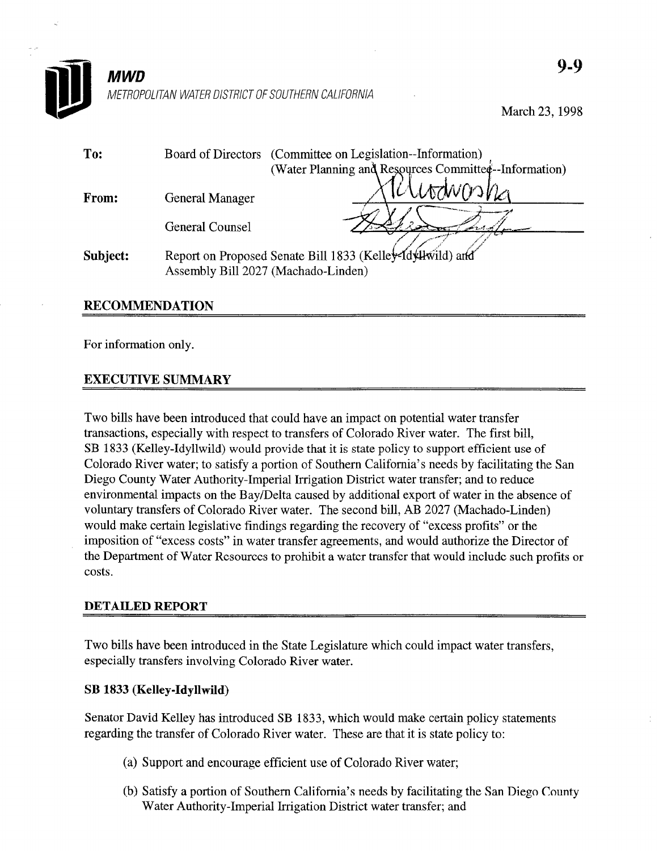

March 23,1998

| To:      |                                     | Board of Directors (Committee on Legislation--Information) |
|----------|-------------------------------------|------------------------------------------------------------|
|          |                                     | (Water Planning and Resources Committee-Information)       |
| From:    | <b>General Manager</b>              | Kutawong                                                   |
|          | <b>General Counsel</b>              |                                                            |
| Subject: | Assembly Bill 2027 (Machado-Linden) | Report on Proposed Senate Bill 1833 (Kelley-Idyllwild) and |
|          |                                     |                                                            |

### RECOMMENDATION

For information only.

## EXECUTIVE SUMMARY

Two bills have been introduced that could have an impact on potential water transfer transactions, especially with respect to transfers of Colorado River water. The first bill, SB 1833 (Kelley-Idyllwild) would provide that it is state policy to support efficient use of Colorado River water; to satisfy a portion of Southern California's needs by facilitating the San Diego County Water Authority-Imperial Irrigation District water transfer; and to reduce environmental impacts on the Bay/Delta caused by additional export of water in the absence of voluntary transfers of Colorado River water. The second bill, AB 2027 (Machado-Linden) would make certain legislative findings regarding the recovery of "excess profits" or the imposition of "excess costs" in water transfer agreements, and would authorize the Director of the Department of Water Resources to prohibit a water transfer that would include such profits or costs.

#### DETAILED REPORT

Two bills have been introduced in the State Legislature which could impact water transfers, especially transfers involving Colorado River water.

#### SB 1833 (Kelley-Idyllwild)

Senator David Kelley has introduced SB 1833, which would make certain policy statements regarding the transfer of Colorado River water. These are that it is state policy to:

- (a) Support and encourage efficient use of Colorado River water;
- (b) Satisfy a portion of Southern California's needs by facilitating the San Diego County Water Authority-Imperial Irrigation District water transfer; and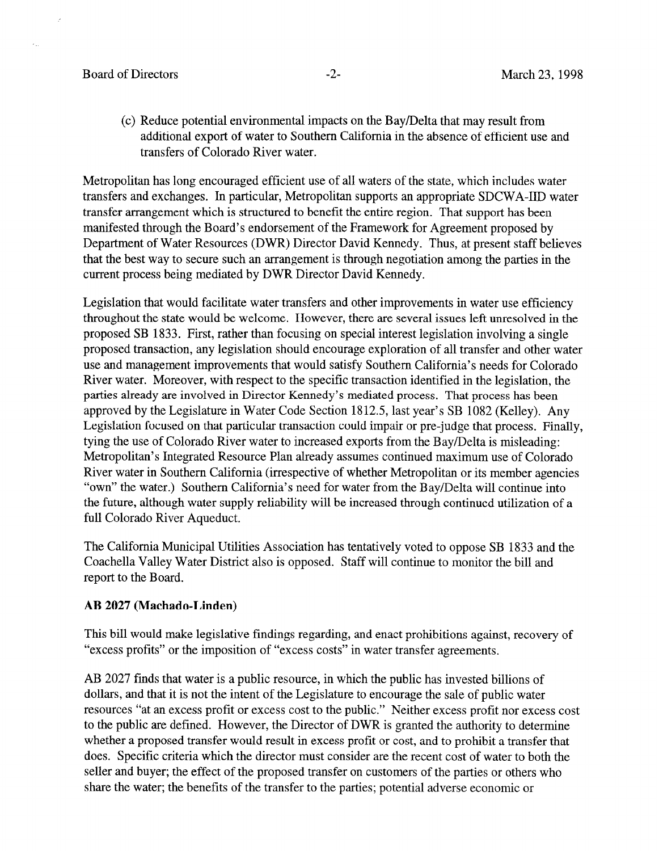### Board of Directors **-2-** All the March 23, 1998

(c) Reduce potential environmental impacts on the Bay/Delta that may result from additional export of water to Southern California in the absence of efficient use and transfers of Colorado River water.

Metropolitan has long encouraged efficient use of all waters of the state, which includes water transfers and exchanges. In particular, Metropolitan supports an appropriate SDCWA-IID water transfer arrangement which is structured to benefit the entire region. That support has been manifested through the Board's endorsement of the Framework for Agreement proposed by Department of Water Resources (DWR) Director David Kennedy. Thus, at present staff believes that the best way to secure such an arrangement is through negotiation among the parties in the current process being mediated by DWR Director David Kennedy.

Legislation that would facilitate water transfers and other improvements in water use efficiency throughout the state would be welcome. However, there are several issues left unresolved in the proposed SB 1833. First, rather than focusing on special interest legislation involving a single proposed transaction, any legislation should encourage exploration of all transfer and other water use and management improvements that would satisfy Southern California's needs for Colorado River water. Moreover, with respect to the specific transaction identified in the legislation, the parties already are involved in Director Kennedy's mediated process. That process has been approved by the Legislature in Water Code Section 1812.5, last year's SB 1082 (Kelley). Any Legislation focused on that particular transaction could impair or pre-judge that process. Finally, tying the use of Colorado River water to increased exports from the Bay/Delta is misleading: Metropolitan's Integrated Resource Plan already assumes continued maximum use of Colorado River water in Southern California (irrespective of whether Metropolitan or its member agencies "own" the water.) Southern California's need for water from the Bay/Delta will continue into the future, although water supply reliability will be increased through continued utilization of a full Colorado River Aqueduct.

The California Municipal Utilities Association has tentatively voted to oppose SB 1833 and the Coachella Valley Water District also is opposed. Staff will continue to monitor the bill and report to the Board.

#### AB 2027 (Machado-Linden)

This bill would make legislative findings regarding, and enact prohibitions against, recovery of "excess profits" or the imposition of "excess costs" in water transfer agreements.

AB 2027 finds that water is a public resource, in which the public has invested billions of dollars, and that it is not the intent of the Legislature to encourage the sale of public water resources "at an excess profit or excess cost to the public." Neither excess profit nor excess cost to the public are defined. However, the Director of DWR is granted the authority to determine whether a proposed transfer would result in excess profit or cost, and to prohibit a transfer that does. Specific criteria which the director must consider are the recent cost of water to both the seller and buyer; the effect of the proposed transfer on customers of the parties or others who share the water; the benefits of the transfer to the parties; potential adverse economic or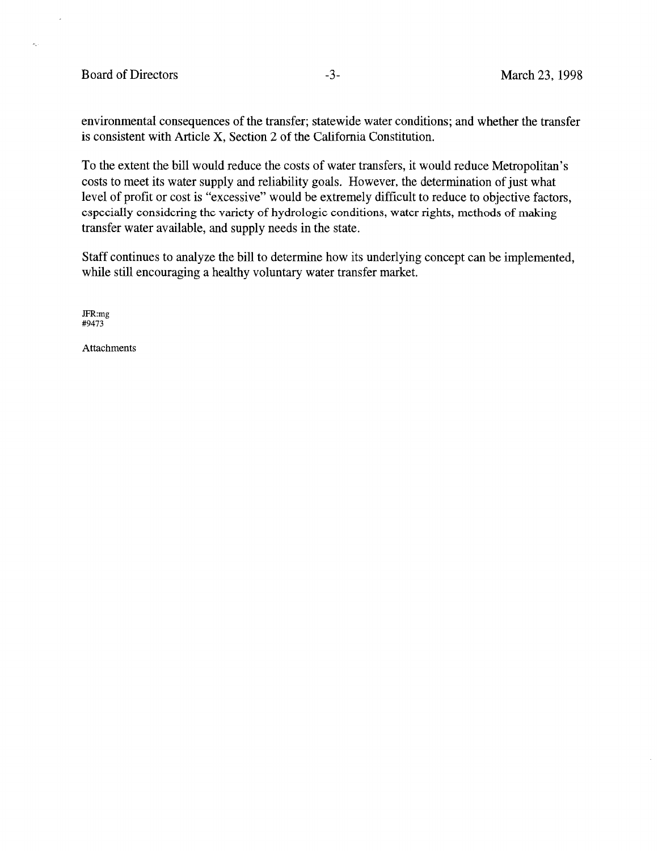### Board of Directors -3- March 23, 1998

 $\overline{a}$ 

 $\mathcal{P}_{\mathcal{A}}$  .

environmental consequences of the transfer; statewide water conditions; and whether the transfer is consistent with Article X, Section 2 of the California Constitution.

To the extent the bill would reduce the costs of water transfers, it would reduce Metropolitan's costs to meet its water supply and reliability goals. However, the determination of just what level of profit or cost is "excessive" would be extremely difficult to reduce to objective factors, especially considering the variety of hydrologic conditions, water rights, methods of making transfer water available, and supply needs in the state.

Staff continues to analyze the bill to determine how its underlying concept can be implemented, while still encouraging a healthy voluntary water transfer market.

JFR:mg #9473

Attachments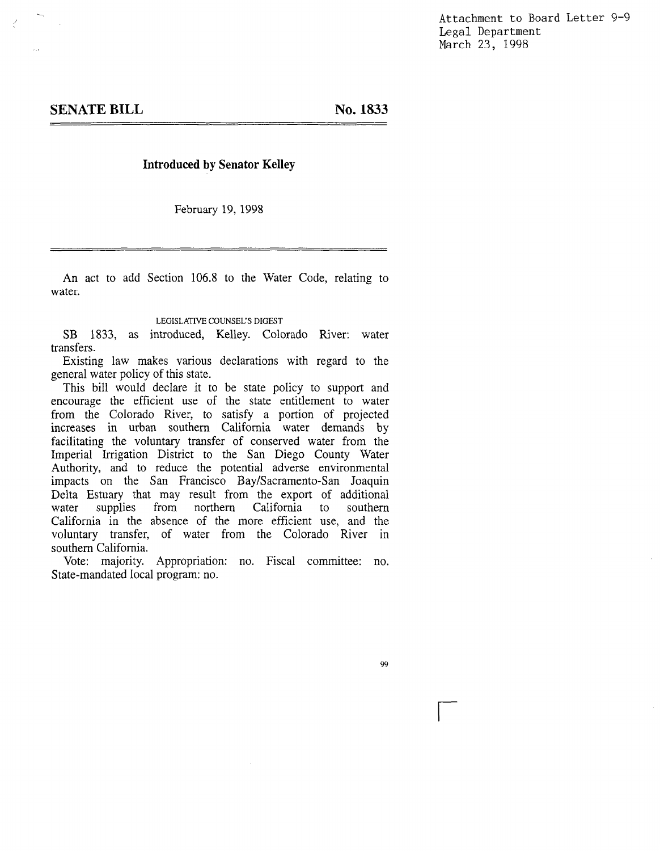Attachment to Board Letter 9-9 Legal Department March 23, 1998

No. 1833

#### Introduced by Senator Kelley

February 19,1998

An act to add Section 106.8 to the Water Code, relating to water.

#### LEGISLATIVE COUNSEL'S DIGEST

SB 1833, as introduced, Kelley. Colorado River: water transfers. Existing law makes various declarations with regard to the

EXISUIIS TAW THANKS VALLUES This bill would declare it to be state policy to support and

encourage the efficient use of the state policy to support and encourage the efficient use of the state entitlement to water from the Colorado River, to satisfy a portion of projected increases in urban southern California water demands by facilitating the voluntary transfer of conserved water from the Imperial Irrigation District to the San Diego County Water Authority, and to reduce the potential adverse environmental impacts on the San Francisco Bay/Sacramento-San Joaquin Delta Estuary that may result from the export of additional water supplies from northern California to southern water supplies from northern California to southern California in the absence of the more efficient use, and the voluntary transfer, of water from the Colorado River in southern California.

Vote: majority. Appropriation: no. Fiscal committee: no.<br>State-mandated local program: no.

99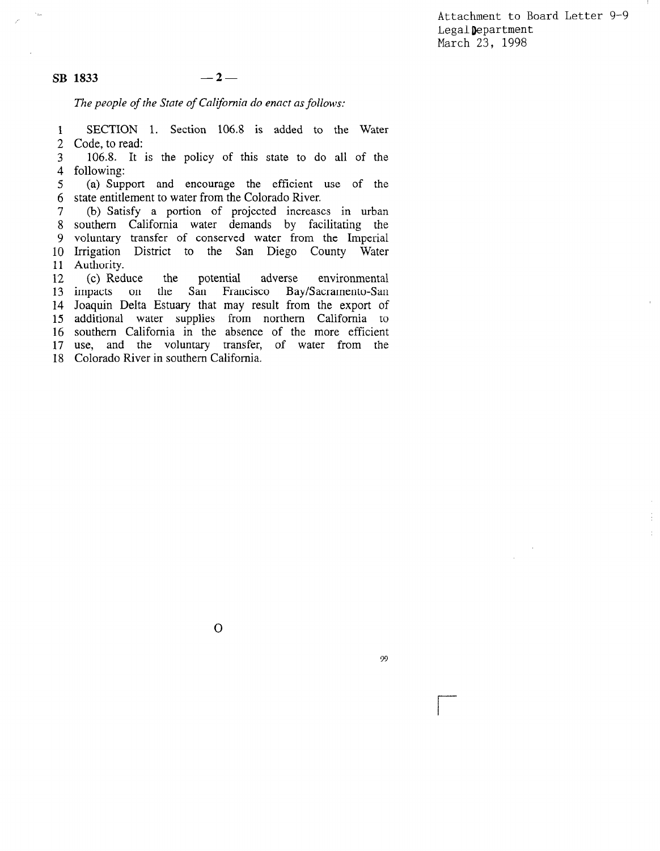Attachment to Board Letter 9-9 LegalDepartment March 23, 1998

 $SB$  1833  $-2-$ 

The people of the State of California do enact as follows:

1 2 SECTION 1. Section 106.8 is added to the Water Code, to read:

3 4 106.8. It is the policy of this state to do all of the following:

5 6 (a) Support and encourage the efficient use of the state entitlement to water from the Colorado River.

7 8 9 10 11 (b) Satisfy a portion of projected increases in urban southern California water demands by facilitating the voluntary transfer of conserved water from the Imperial Irrigation District to the San Diego County Water Authority.

12 13 impacts on 14 Joaquin Delta Estuary that may result from the export of 15 additional water supplies from northern California to 15 augustus water supplies from hominent California to  $10^{10}$  $\frac{1}{10}$ (c) Reduce the potential adverse environmental the San Francisco Bay/Sacramento-San soument canonica in the absence of the more emerging asc, and the volumely transier

 $\overline{O}$ 

99

 $\overline{r}$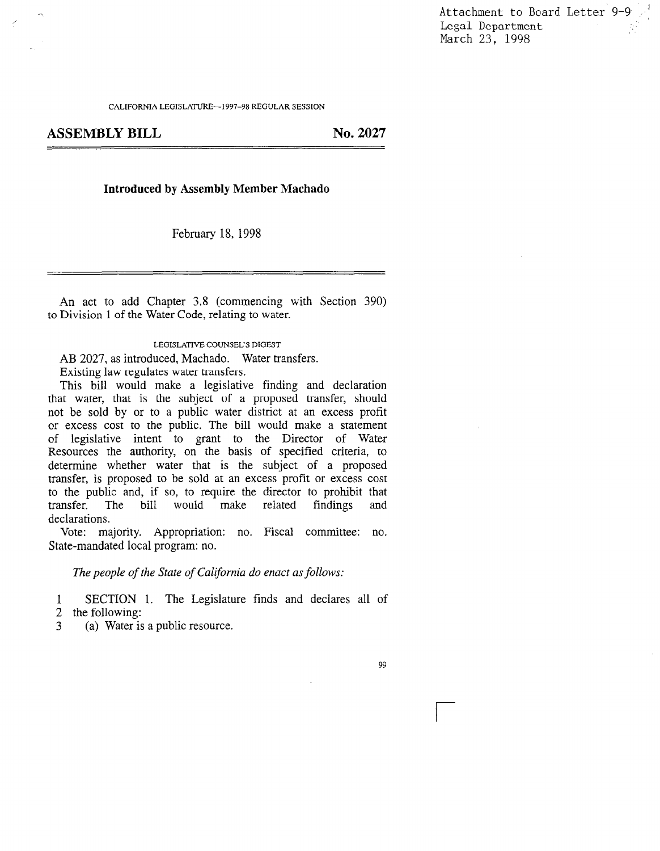Attachment to Board Letter 9-9 Legal Department<br>March 23, 1998

CALIFORNIA LEGISLATURE-1997-98 REGULAR SESSION

ASSEMBLY BILL No. 2027

#### Introduced by Assembly Member Machado

February 18, 1998

An act to add Chapter 3.8 (commencing with Section 390) to Division 1 of the Water Code, relating to water.

LEGISLATIVE COUNSEL'S DIGEST

AB 2027, as introduced, Machado. Water transfers.  $\text{AD } 2027$ , as introduced, macriado.  $\gamma$ 

Existing law regulates water transfers.<br>This bill would make a legislative finding and declaration this one would make a registative miding and declaration  $\frac{1}{2}$  matrix by the subject of a proposed transier, should not be sold by or to a public water district at an excess profit or excess cost to the public. The bill would make a statement of legislative intent to grant to the Director of Water Resources the authority, on the basis of specified criteria, to determine whether water that is the subject of a proposed transfer, is proposed to be sold at an excess profit or excess cost to the public and, if so, to require the director to prohibit that transfer. The bill would make related findings and transfer. T<br>declarations. vote: majority. Appropriation: no. Fiscal committee: no. Fiscal committee: no. Fiscal committee: no. Fiscal committee: no. Fiscal committee: no. Fiscal committee: no. Fiscal committee: no. Fiscal committee: no. Fiscal comm

Vote: majority. Appropriation: no. Fiscal committee: no.<br>State-mandated local program: no.

The people of the State of California do enact as follows:

1 SECTION 1. The Legislature finds and declares all of 2 the following:

(a) Water is a public resource. 3

99

r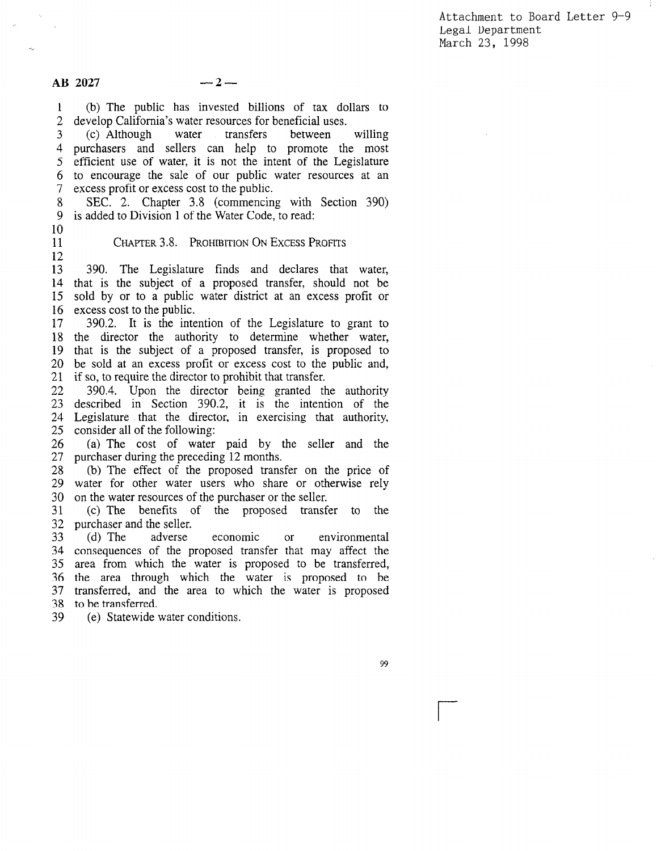Attachment to Board Letter 9-9 Legal Department March 23, 1998

1 2 (b) The public has invested billions of tax dollars to develop California's water resources for beneficial uses.

3 4 5 6 7 (c) Although water transfers between willing purchasers and sellers can help to promote the most efficient use of water, it is not the intent of the Legislature to encourage the sale of our public water resources at an excess profit or excess cost to the public.

8 9 SEC. 2. Chapter 3.8 (commencing with Section 390) is added to Division 1 of the Water Code, to read:

10 11

12

CHAPTER 3.8. PROHIBITION ON EXCESS PROFITS

13 14 15 16 390. The Legislature finds and declares that water, that is the subject of a proposed transfer, should not be sold by or to a public water district at an excess profit or excess cost to the public.

17 18 19 20 21 390.2. It is the intention of the Legislature to grant to the director the authority to determine whether water, that is the subject of a proposed transfer, is proposed to be sold at an excess profit or excess cost to the public and, if so, to require the director to prohibit that transfer.

22  $22 \times$  $\frac{2}{2}$ za Legislature that the direct 26 390.4. Upon the director being granted the authority  $390.4$ , Opon the director being granted the authority described in section  $390.2$ , it is the intention of the  $\sim$  The cost of the contouring.

26 27 (a) The cost of water paid by  $\mu$ purchaser during the preceding 12 months.

29 29 30 (b) The effect of the proposed transfer on the price of water for other water users who share or otherwise rely (c) The benefits of the purchaser or the seller.<br>
(c) The benefits of the proposed transfer to the

31 33 (c) The benefits of the proposed transfer to purchaser and the seller.<br>
(d) The adverse economic or

33 34 36  $36<sup>7</sup>$ 37 39 environmental consequences of the proposed transfer that may affect the area from which the water is proposed to be transferred, the area through which the water is proposed to be transferred, and the area to which the water is proposed to be transferred.<br>(e) Statewide water conditions.

39

r